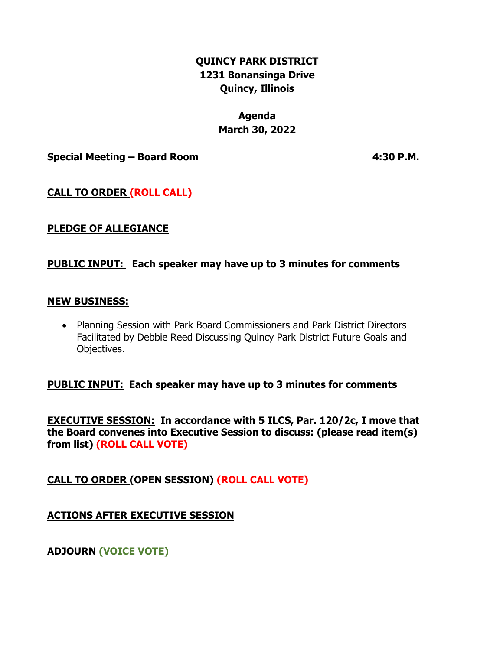# **QUINCY PARK DISTRICT 1231 Bonansinga Drive Quincy, Illinois**

# **Agenda March 30, 2022**

**Special Meeting – Board Room 4:30 P.M.**

# **CALL TO ORDER (ROLL CALL)**

## **PLEDGE OF ALLEGIANCE**

### **PUBLIC INPUT: Each speaker may have up to 3 minutes for comments**

#### **NEW BUSINESS:**

• Planning Session with Park Board Commissioners and Park District Directors Facilitated by Debbie Reed Discussing Quincy Park District Future Goals and Objectives.

### **PUBLIC INPUT: Each speaker may have up to 3 minutes for comments**

**EXECUTIVE SESSION: In accordance with 5 ILCS, Par. 120/2c, I move that the Board convenes into Executive Session to discuss: (please read item(s) from list) (ROLL CALL VOTE)**

**CALL TO ORDER (OPEN SESSION) (ROLL CALL VOTE)**

**ACTIONS AFTER EXECUTIVE SESSION**

**ADJOURN (VOICE VOTE)**